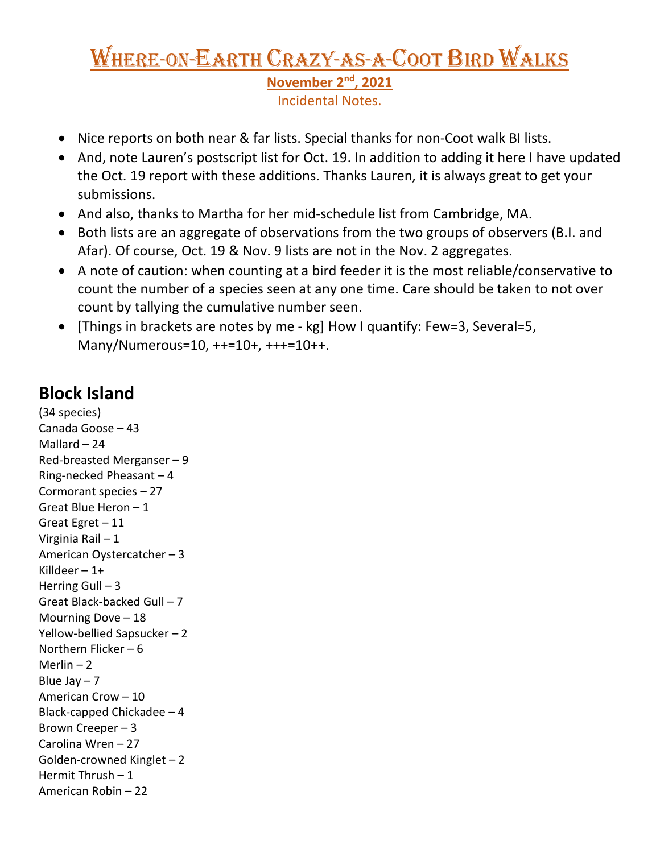# Where-on-Earth Crazy-as-a-Coot Bird Walks **November 2nd, 2021**

Incidental Notes.

- Nice reports on both near & far lists. Special thanks for non-Coot walk BI lists.
- And, note Lauren's postscript list for Oct. 19. In addition to adding it here I have updated the Oct. 19 report with these additions. Thanks Lauren, it is always great to get your submissions.
- And also, thanks to Martha for her mid-schedule list from Cambridge, MA.
- Both lists are an aggregate of observations from the two groups of observers (B.I. and Afar). Of course, Oct. 19 & Nov. 9 lists are not in the Nov. 2 aggregates.
- A note of caution: when counting at a bird feeder it is the most reliable/conservative to count the number of a species seen at any one time. Care should be taken to not over count by tallying the cumulative number seen.
- [Things in brackets are notes by me kg] How I quantify: Few=3, Several=5, Many/Numerous=10, ++=10+, +++=10++.

## **Block Island**

(34 species) Canada Goose – 43 Mallard – 24 Red-breasted Merganser – 9 Ring-necked Pheasant – 4 Cormorant species – 27 Great Blue Heron – 1 Great Egret – 11 Virginia Rail – 1 American Oystercatcher – 3 Killdeer  $-1+$ Herring Gull  $-3$ Great Black-backed Gull – 7 Mourning Dove – 18 Yellow-bellied Sapsucker – 2 Northern Flicker – 6 Merlin  $-2$ Blue Jay  $-7$ American Crow – 10 Black-capped Chickadee – 4 Brown Creeper – 3 Carolina Wren – 27 Golden-crowned Kinglet – 2 Hermit Thrush – 1 American Robin – 22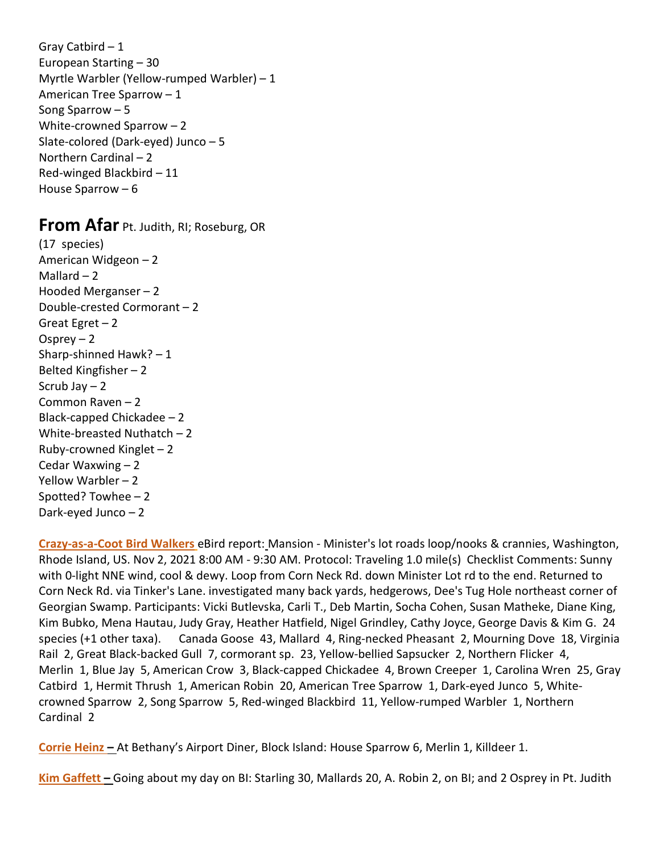Gray Catbird – 1 European Starting – 30 Myrtle Warbler (Yellow-rumped Warbler) – 1 American Tree Sparrow – 1 Song Sparrow – 5 White-crowned Sparrow – 2 Slate-colored (Dark-eyed) Junco – 5 Northern Cardinal – 2 Red-winged Blackbird – 11 House Sparrow – 6

## **From Afar** Pt. Judith, RI; Roseburg, OR

(17 species) American Widgeon – 2 Mallard  $-2$ Hooded Merganser – 2 Double-crested Cormorant – 2 Great Egret  $-2$ Osprey  $-2$ Sharp-shinned Hawk? – 1 Belted Kingfisher – 2 Scrub Jav  $-2$ Common Raven – 2 Black-capped Chickadee – 2 White-breasted Nuthatch – 2 Ruby-crowned Kinglet – 2 Cedar Waxwing – 2 Yellow Warbler – 2 Spotted? Towhee – 2 Dark-eyed Junco – 2

**Crazy-as-a-Coot Bird Walkers** eBird report: Mansion - Minister's lot roads loop/nooks & crannies, Washington, Rhode Island, US. Nov 2, 2021 8:00 AM - 9:30 AM. Protocol: Traveling 1.0 mile(s) Checklist Comments: Sunny with 0-light NNE wind, cool & dewy. Loop from Corn Neck Rd. down Minister Lot rd to the end. Returned to Corn Neck Rd. via Tinker's Lane. investigated many back yards, hedgerows, Dee's Tug Hole northeast corner of Georgian Swamp. Participants: Vicki Butlevska, Carli T., Deb Martin, Socha Cohen, Susan Matheke, Diane King, Kim Bubko, Mena Hautau, Judy Gray, Heather Hatfield, Nigel Grindley, Cathy Joyce, George Davis & Kim G. 24 species (+1 other taxa). Canada Goose 43, Mallard 4, Ring-necked Pheasant 2, Mourning Dove 18, Virginia Rail 2, Great Black-backed Gull 7, cormorant sp. 23, Yellow-bellied Sapsucker 2, Northern Flicker 4, Merlin 1, Blue Jay 5, American Crow 3, Black-capped Chickadee 4, Brown Creeper 1, Carolina Wren 25, Gray Catbird 1, Hermit Thrush 1, American Robin 20, American Tree Sparrow 1, Dark-eyed Junco 5, Whitecrowned Sparrow 2, Song Sparrow 5, Red-winged Blackbird 11, Yellow-rumped Warbler 1, Northern Cardinal 2

**Corrie Heinz –** At Bethany's Airport Diner, Block Island: House Sparrow 6, Merlin 1, Killdeer 1.

**Kim Gaffett –** Going about my day on BI: Starling 30, Mallards 20, A. Robin 2, on BI; and 2 Osprey in Pt. Judith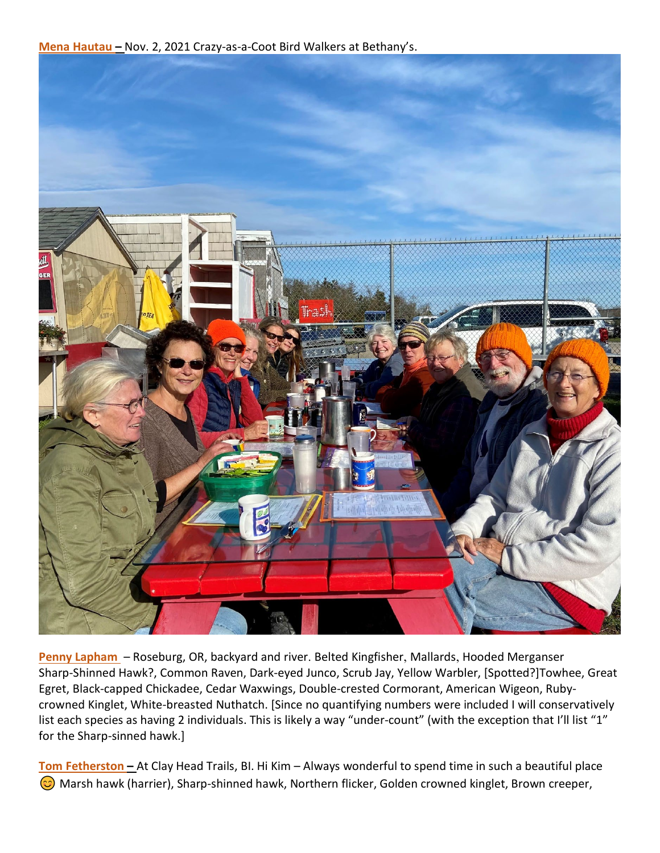**Mena Hautau –** Nov. 2, 2021 Crazy-as-a-Coot Bird Walkers at Bethany's.



**Penny Lapham** – Roseburg, OR, backyard and river. Belted Kingfisher, Mallards, Hooded Merganser Sharp-Shinned Hawk?, Common Raven, Dark-eyed Junco, Scrub Jay, Yellow Warbler, [Spotted?]Towhee, Great Egret, Black-capped Chickadee, Cedar Waxwings, Double-crested Cormorant, American Wigeon, Rubycrowned Kinglet, White-breasted Nuthatch. [Since no quantifying numbers were included I will conservatively list each species as having 2 individuals. This is likely a way "under-count" (with the exception that I'll list "1" for the Sharp-sinned hawk.]

**Tom Fetherston –** At Clay Head Trails, BI. Hi Kim – Always wonderful to spend time in such a beautiful place  $\odot$  Marsh hawk (harrier), Sharp-shinned hawk, Northern flicker, Golden crowned kinglet, Brown creeper,